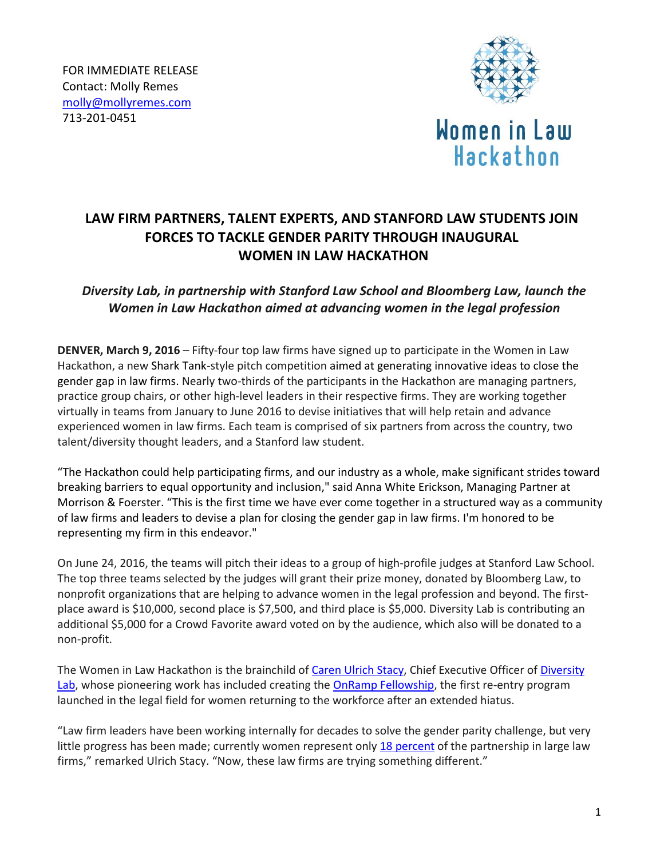

# **Women in Law** Hackathon

## **LAW FIRM PARTNERS, TALENT EXPERTS, AND STANFORD LAW STUDENTS JOIN FORCES TO TACKLE GENDER PARITY THROUGH INAUGURAL WOMEN IN LAW HACKATHON**

### *Diversity Lab, in partnership with Stanford Law School and Bloomberg Law, launch the Women in Law Hackathon aimed at advancing women in the legal profession*

**DENVER, March 9, 2016** – Fifty-four top law firms have signed up to participate in the Women in Law Hackathon, a new Shark Tank-style pitch competition aimed at generating innovative ideas to close the gender gap in law firms. Nearly two-thirds of the participants in the Hackathon are managing partners, practice group chairs, or other high-level leaders in their respective firms. They are working together virtually in teams from January to June 2016 to devise initiatives that will help retain and advance experienced women in law firms. Each team is comprised of six partners from across the country, two talent/diversity thought leaders, and a Stanford law student.

"The Hackathon could help participating firms, and our industry as a whole, make significant strides toward breaking barriers to equal opportunity and inclusion," said Anna White Erickson, Managing Partner at Morrison & Foerster. "This is the first time we have ever come together in a structured way as a community of law firms and leaders to devise a plan for closing the gender gap in law firms. I'm honored to be representing my firm in this endeavor."

On June 24, 2016, the teams will pitch their ideas to a group of high-profile judges at Stanford Law School. The top three teams selected by the judges will grant their prize money, donated by Bloomberg Law, to nonprofit organizations that are helping to advance women in the legal profession and beyond. The firstplace award is \$10,000, second place is \$7,500, and third place is \$5,000. Diversity Lab is contributing an additional \$5,000 for a Crowd Favorite award voted on by the audience, which also will be donated to a non-profit.

The Women in Law Hackathon is the brainchild of Caren [Ulrich](http://www.diversitylab.com/who-we-are/) Stacy, Chief Executive Officer of [Diversity](http://www.diversitylab.com/) [Lab,](http://www.diversitylab.com/) whose pioneering work has included creating the OnRamp [Fellowship,](http://onrampfellowship.com/) the first re-entry program launched in the legal field for women returning to the workforce after an extended hiatus.

"Law firm leaders have been working internally for decades to solve the gender parity challenge, but very little progress has been made; currently women represent only 18 [percent](http://www.nawl.org/p/cm/ld/fid=506) of the partnership in large law firms," remarked Ulrich Stacy. "Now, these law firms are trying something different."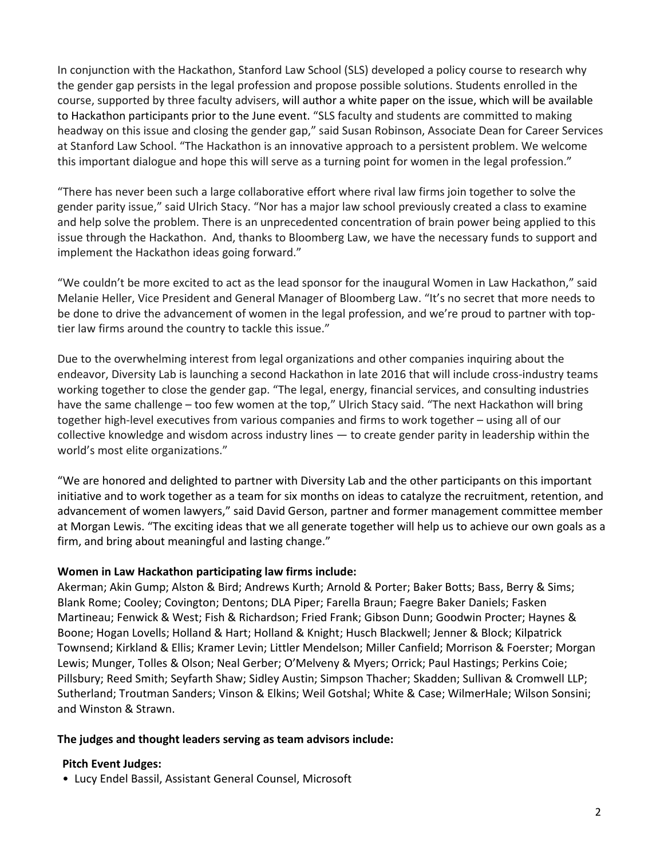In conjunction with the Hackathon, Stanford Law School (SLS) developed a policy course to research why the gender gap persists in the legal profession and propose possible solutions. Students enrolled in the course, supported by three faculty advisers, will author a white paper on the issue, which will be available to Hackathon participants prior to the June event. "SLS faculty and students are committed to making headway on this issue and closing the gender gap," said Susan Robinson, Associate Dean for Career Services at Stanford Law School. "The Hackathon is an innovative approach to a persistent problem. We welcome this important dialogue and hope this will serve as a turning point for women in the legal profession."

"There has never been such a large collaborative effort where rival law firms join together to solve the gender parity issue," said Ulrich Stacy. "Nor has a major law school previously created a class to examine and help solve the problem. There is an unprecedented concentration of brain power being applied to this issue through the Hackathon. And, thanks to Bloomberg Law, we have the necessary funds to support and implement the Hackathon ideas going forward."

"We couldn't be more excited to act as the lead sponsor for the inaugural Women in Law Hackathon," said Melanie Heller, Vice President and General Manager of Bloomberg Law. "It's no secret that more needs to be done to drive the advancement of women in the legal profession, and we're proud to partner with toptier law firms around the country to tackle this issue."

Due to the overwhelming interest from legal organizations and other companies inquiring about the endeavor, Diversity Lab is launching a second Hackathon in late 2016 that will include cross-industry teams working together to close the gender gap. "The legal, energy, financial services, and consulting industries have the same challenge - too few women at the top," Ulrich Stacy said. "The next Hackathon will bring together high-level executives from various companies and firms to work together – using all of our collective knowledge and wisdom across industry lines — to create gender parity in leadership within the world's most elite organizations."

"We are honored and delighted to partner with Diversity Lab and the other participants on this important initiative and to work together as a team for six months on ideas to catalyze the recruitment, retention, and advancement of women lawyers," said David Gerson, partner and former management committee member at Morgan Lewis. "The exciting ideas that we all generate together will help us to achieve our own goals as a firm, and bring about meaningful and lasting change."

#### **Women in Law Hackathon participating law firms include:**

Akerman; Akin Gump; Alston & Bird; Andrews Kurth; Arnold & Porter; Baker Botts; Bass, Berry & Sims; Blank Rome; Cooley; Covington; Dentons; DLA Piper; Farella Braun; Faegre Baker Daniels; Fasken Martineau; Fenwick & West; Fish & Richardson; Fried Frank; Gibson Dunn; Goodwin Procter; Haynes & Boone; Hogan Lovells; Holland & Hart; Holland & Knight; Husch Blackwell; Jenner & Block; Kilpatrick Townsend; Kirkland & Ellis; Kramer Levin; Littler Mendelson; Miller Canfield; Morrison & Foerster; Morgan Lewis; Munger, Tolles & Olson; Neal Gerber; O'Melveny & Myers; Orrick; Paul Hastings; Perkins Coie; Pillsbury; Reed Smith; Seyfarth Shaw; Sidley Austin; Simpson Thacher; Skadden; Sullivan & Cromwell LLP; Sutherland; Troutman Sanders; Vinson & Elkins; Weil Gotshal; White & Case; WilmerHale; Wilson Sonsini; and Winston & Strawn.

#### **The judges and thought leaders serving as team advisors include:**

#### **Pitch Event Judges:**

• Lucy Endel Bassil, Assistant General Counsel, Microsoft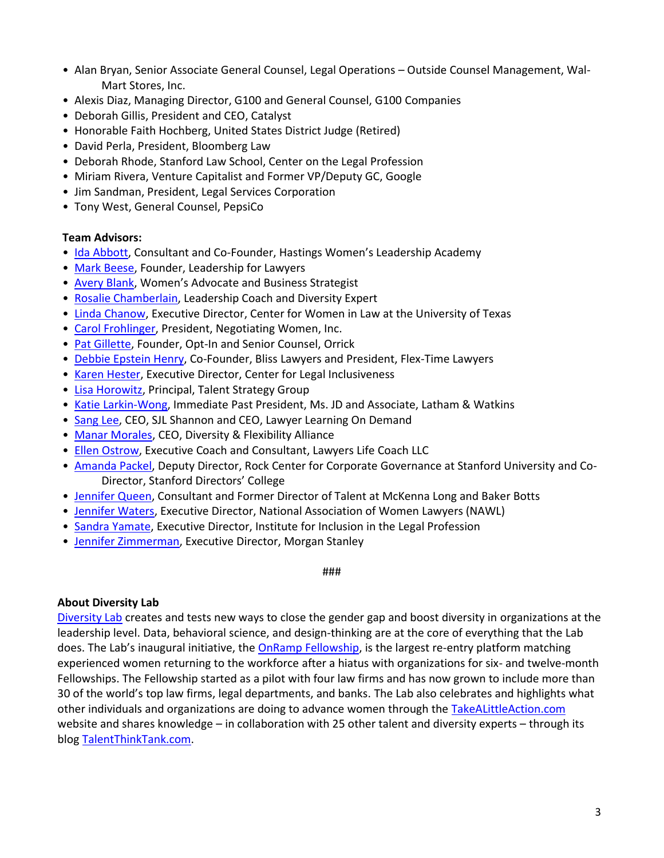- Alan Bryan, Senior Associate General Counsel, Legal Operations Outside Counsel Management, Wal-Mart Stores, Inc.
- Alexis Diaz, Managing Director, G100 and General Counsel, G100 Companies
- Deborah Gillis, President and CEO, Catalyst
- Honorable Faith Hochberg, United States District Judge (Retired)
- David Perla, President, Bloomberg Law
- Deborah Rhode, Stanford Law School, Center on the Legal Profession
- Miriam Rivera, Venture Capitalist and Former VP/Deputy GC, Google
- Jim Sandman, President, Legal Services Corporation
- Tony West, General Counsel, PepsiCo

#### **Team Advisors:**

- [Ida Abbott,](http://www.idaabbott.com/about) Consultant and Co-Founder, Hastings Women's Leadership Academy
- [Mark Beese,](http://leadershipforlawyers.com/bio/) Founder, Leadership for Lawyers
- [Avery Blank](https://www.linkedin.com/in/averyblank), Women's Advocate and Business Strategist
- [Rosalie Chamberlain,](http://rosaliechamberlainconsulting.com/about) Leadership Coach and Diversity Expert
- [Linda Chanow,](https://www.linkedin.com/in/lindabraychanow) Executive Director, Center for Women in Law at the University of Texas
- [Carol Frohlinger,](http://www.negotiatingwomen.com/specialized-services-professional-services-firms/carol-frohlinger-bio-professional-services-firms/) President, Negotiating Women, Inc.
- [Pat Gillette,](http://www.patriciagillette.com/about) Founder, Opt-In and Senior Counsel, Orrick
- [Debbie Epstein Henry,](http://www.flextimelawyers.com/found.asp) Co-Founder, Bliss Lawyers and President, Flex-Time Lawyers
- [Karen Hester,](http://www.centerforlegalinclusiveness.org/staff-and-board-of-directors/cli-staff/) Executive Director, Center for Legal Inclusiveness
- [Lisa Horowitz,](http://www.atalentstrategy.com/#!about-a-talent-strategy-group/c1ulw) Principal, Talent Strategy Group
- [Katie Larkin-Wong,](https://www.lw.com/people/KatherineMLarkin-Wong) Immediate Past President, Ms. JD and Associate, Latham & Watkins
- [Sang Lee,](http://www.sjlsearch.com/who/sang.html) CEO, SJL Shannon and CEO, Lawyer Learning On Demand
- [Manar Morales,](http://dfalliance.com/about/team/manar-morales/) CEO, Diversity & Flexibility Alliance
- [Ellen Ostrow,](http://www.lawyerslifecoach.com/coaches/ellen-ostrow-phd) Executive Coach and Consultant, Lawyers Life Coach LLC
- [Amanda Packel,](https://www.linkedin.com/in/amanda-packel-0b7224) Deputy Director, Rock Center for Corporate Governance at Stanford University and Co-Director, Stanford Directors' College
- [Jennifer Queen,](https://www.linkedin.com/in/jennifer-queen-8273005) Consultant and Former Director of Talent at McKenna Long and Baker Botts
- [Jennifer Waters,](https://www.linkedin.com/in/jennifercushmanwaters) Executive Director, National Association of Women Lawyers (NAWL)
- [Sandra Yamate,](http://www.theiilp.com/board#Yamate) Executive Director, Institute for Inclusion in the Legal Profession
- Jennifer [Zimmerman,](https://www.linkedin.com/in/jennifer-zimmerman-56ba624a) Executive Director, Morgan Stanley

###

#### **About Diversity Lab**

[Diversity Lab](http://www.diversitylab.com/) creates and tests new ways to close the gender gap and boost diversity in organizations at the leadership level. Data, behavioral science, and design-thinking are at the core of everything that the Lab does. The Lab's inaugural initiative, the OnRamp [Fellowship,](http://onrampfellowship.com/) is the largest re-entry platform matching experienced women returning to the workforce after a hiatus with organizations for six- and twelve-month Fellowships. The Fellowship started as a pilot with four law firms and has now grown to include more than 30 of the world's top law firms, legal departments, and banks. The Lab also celebrates and highlights what other individuals and organizations are doing to advance women through the [TakeALittleAction.com](http://www.takealittleaction.com/) website and shares knowledge – in collaboration with 25 other talent and diversity experts – through its blog [TalentThinkTank.com.](http://www.talentthinktank.com/)